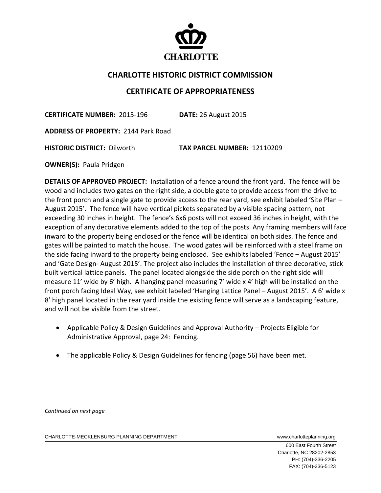

## **CHARLOTTE HISTORIC DISTRICT COMMISSION**

## **CERTIFICATE OF APPROPRIATENESS**

**CERTIFICATE NUMBER:** 2015‐196 **DATE:** 26 August 2015

**ADDRESS OF PROPERTY:** 2144 Park Road

**HISTORIC DISTRICT:** Dilworth **TAX PARCEL NUMBER:** 12110209

**OWNER(S): Paula Pridgen** 

**DETAILS OF APPROVED PROJECT:** Installation of a fence around the front yard. The fence will be wood and includes two gates on the right side, a double gate to provide access from the drive to the front porch and a single gate to provide access to the rear yard, see exhibit labeled 'Site Plan – August 2015'. The fence will have vertical pickets separated by a visible spacing pattern, not exceeding 30 inches in height. The fence's 6x6 posts will not exceed 36 inches in height, with the exception of any decorative elements added to the top of the posts. Any framing members will face inward to the property being enclosed or the fence will be identical on both sides. The fence and gates will be painted to match the house. The wood gates will be reinforced with a steel frame on the side facing inward to the property being enclosed. See exhibits labeled 'Fence – August 2015' and 'Gate Design‐ August 2015'. The project also includes the installation of three decorative, stick built vertical lattice panels. The panel located alongside the side porch on the right side will measure 11' wide by 6' high. A hanging panel measuring 7' wide x 4' high will be installed on the front porch facing Ideal Way, see exhibit labeled 'Hanging Lattice Panel – August 2015'. A 6' wide x 8' high panel located in the rear yard inside the existing fence will serve as a landscaping feature, and will not be visible from the street.

- Applicable Policy & Design Guidelines and Approval Authority Projects Eligible for Administrative Approval, page 24: Fencing.
- The applicable Policy & Design Guidelines for fencing (page 56) have been met.

*Continued on next page*

CHARLOTTE-MECKLENBURG PLANNING DEPARTMENT WWWW.charlotteplanning.org